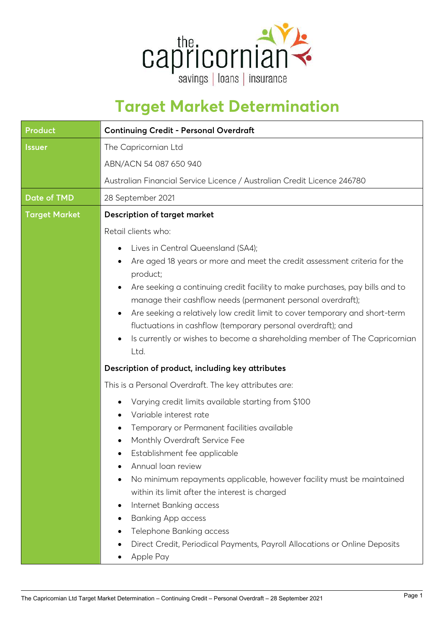

## **Target Market Determination**

| <b>Product</b>       | <b>Continuing Credit - Personal Overdraft</b>                                                                                                                                                                                                                                                                                                                                                                                                                                                                              |  |  |
|----------------------|----------------------------------------------------------------------------------------------------------------------------------------------------------------------------------------------------------------------------------------------------------------------------------------------------------------------------------------------------------------------------------------------------------------------------------------------------------------------------------------------------------------------------|--|--|
| <b>Issuer</b>        | The Capricornian Ltd<br>ABN/ACN 54 087 650 940                                                                                                                                                                                                                                                                                                                                                                                                                                                                             |  |  |
|                      |                                                                                                                                                                                                                                                                                                                                                                                                                                                                                                                            |  |  |
|                      | Australian Financial Service Licence / Australian Credit Licence 246780                                                                                                                                                                                                                                                                                                                                                                                                                                                    |  |  |
| <b>Date of TMD</b>   | 28 September 2021                                                                                                                                                                                                                                                                                                                                                                                                                                                                                                          |  |  |
| <b>Target Market</b> | <b>Description of target market</b>                                                                                                                                                                                                                                                                                                                                                                                                                                                                                        |  |  |
|                      | Retail clients who:                                                                                                                                                                                                                                                                                                                                                                                                                                                                                                        |  |  |
|                      | Lives in Central Queensland (SA4);<br>٠                                                                                                                                                                                                                                                                                                                                                                                                                                                                                    |  |  |
|                      | Are aged 18 years or more and meet the credit assessment criteria for the<br>product;                                                                                                                                                                                                                                                                                                                                                                                                                                      |  |  |
|                      | Are seeking a continuing credit facility to make purchases, pay bills and to<br>$\bullet$<br>manage their cashflow needs (permanent personal overdraft);<br>Are seeking a relatively low credit limit to cover temporary and short-term<br>$\bullet$<br>fluctuations in cashflow (temporary personal overdraft); and<br>Is currently or wishes to become a shareholding member of The Capricornian<br>٠<br>Ltd.                                                                                                            |  |  |
|                      | Description of product, including key attributes                                                                                                                                                                                                                                                                                                                                                                                                                                                                           |  |  |
|                      | This is a Personal Overdraft. The key attributes are:                                                                                                                                                                                                                                                                                                                                                                                                                                                                      |  |  |
|                      | Varying credit limits available starting from \$100<br>Variable interest rate<br>Temporary or Permanent facilities available<br>Monthly Overdraft Service Fee<br>Establishment fee applicable<br>Annual loan review<br>No minimum repayments applicable, however facility must be maintained<br>٠<br>within its limit after the interest is charged<br>Internet Banking access<br>٠<br><b>Banking App access</b><br>Telephone Banking access<br>Direct Credit, Periodical Payments, Payroll Allocations or Online Deposits |  |  |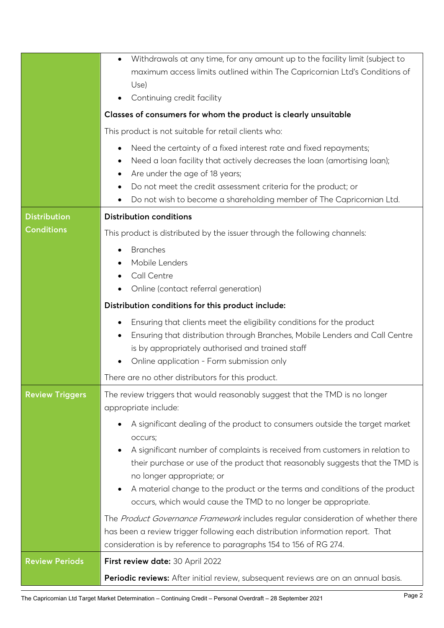|                        | Withdrawals at any time, for any amount up to the facility limit (subject to<br>$\bullet$<br>maximum access limits outlined within The Capricornian Ltd's Conditions of<br>Use)<br>Continuing credit facility<br>٠<br>Classes of consumers for whom the product is clearly unsuitable<br>This product is not suitable for retail clients who:<br>Need the certainty of a fixed interest rate and fixed repayments;<br>$\bullet$<br>Need a loan facility that actively decreases the loan (amortising loan);<br>٠<br>Are under the age of 18 years;<br>٠<br>Do not meet the credit assessment criteria for the product; or<br>٠<br>Do not wish to become a shareholding member of The Capricornian Ltd.<br>٠ |  |  |
|------------------------|-------------------------------------------------------------------------------------------------------------------------------------------------------------------------------------------------------------------------------------------------------------------------------------------------------------------------------------------------------------------------------------------------------------------------------------------------------------------------------------------------------------------------------------------------------------------------------------------------------------------------------------------------------------------------------------------------------------|--|--|
| <b>Distribution</b>    | <b>Distribution conditions</b>                                                                                                                                                                                                                                                                                                                                                                                                                                                                                                                                                                                                                                                                              |  |  |
| <b>Conditions</b>      | This product is distributed by the issuer through the following channels:                                                                                                                                                                                                                                                                                                                                                                                                                                                                                                                                                                                                                                   |  |  |
|                        | <b>Branches</b><br>$\bullet$<br>Mobile Lenders<br>Call Centre                                                                                                                                                                                                                                                                                                                                                                                                                                                                                                                                                                                                                                               |  |  |
|                        | Online (contact referral generation)                                                                                                                                                                                                                                                                                                                                                                                                                                                                                                                                                                                                                                                                        |  |  |
|                        | Distribution conditions for this product include:                                                                                                                                                                                                                                                                                                                                                                                                                                                                                                                                                                                                                                                           |  |  |
|                        | Ensuring that clients meet the eligibility conditions for the product<br>٠<br>Ensuring that distribution through Branches, Mobile Lenders and Call Centre<br>$\bullet$<br>is by appropriately authorised and trained staff<br>Online application - Form submission only<br>$\bullet$                                                                                                                                                                                                                                                                                                                                                                                                                        |  |  |
|                        | There are no other distributors for this product.                                                                                                                                                                                                                                                                                                                                                                                                                                                                                                                                                                                                                                                           |  |  |
| <b>Review Triggers</b> | The review triggers that would reasonably suggest that the TMD is no longer<br>appropriate include:<br>A significant dealing of the product to consumers outside the target market<br>٠<br>occurs;<br>A significant number of complaints is received from customers in relation to<br>٠<br>their purchase or use of the product that reasonably suggests that the TMD is<br>no longer appropriate; or<br>A material change to the product or the terms and conditions of the product<br>٠                                                                                                                                                                                                                   |  |  |
|                        | occurs, which would cause the TMD to no longer be appropriate.                                                                                                                                                                                                                                                                                                                                                                                                                                                                                                                                                                                                                                              |  |  |
|                        | The Product Governance Framework includes regular consideration of whether there<br>has been a review trigger following each distribution information report. That<br>consideration is by reference to paragraphs 154 to 156 of RG 274.                                                                                                                                                                                                                                                                                                                                                                                                                                                                     |  |  |
| <b>Review Periods</b>  | First review date: 30 April 2022                                                                                                                                                                                                                                                                                                                                                                                                                                                                                                                                                                                                                                                                            |  |  |
|                        | Periodic reviews: After initial review, subsequent reviews are on an annual basis.                                                                                                                                                                                                                                                                                                                                                                                                                                                                                                                                                                                                                          |  |  |